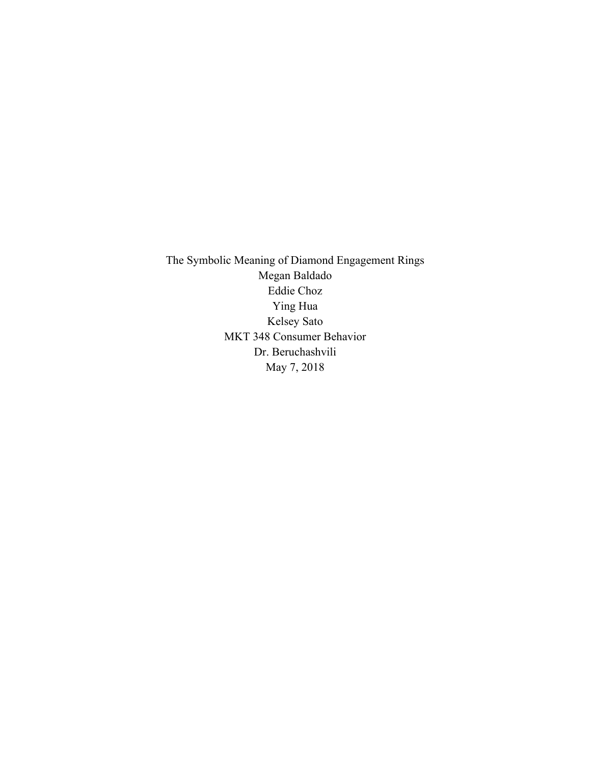The Symbolic Meaning of Diamond Engagement Rings Megan Baldado Eddie Choz Ying Hua Kelsey Sato MKT 348 Consumer Behavior Dr. Beruchashvili May 7, 2018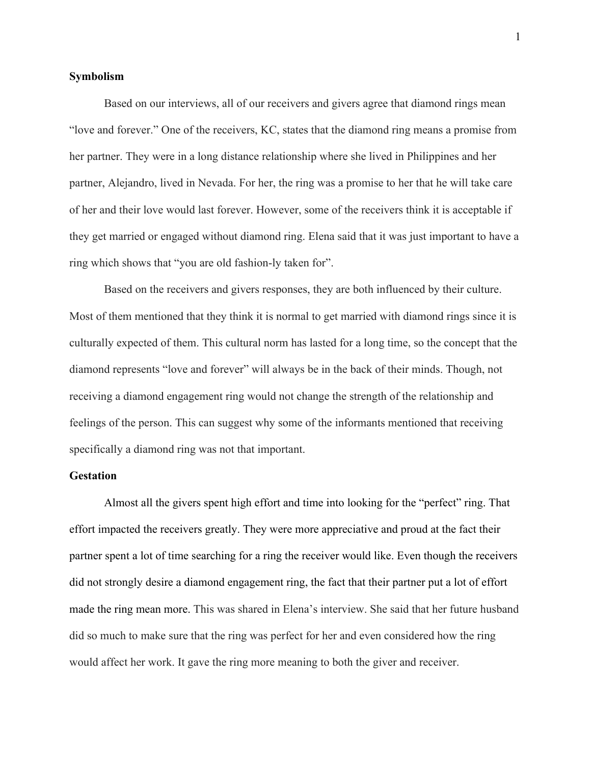## **Symbolism**

Based on our interviews, all of our receivers and givers agree that diamond rings mean "love and forever." One of the receivers, KC, states that the diamond ring means a promise from her partner. They were in a long distance relationship where she lived in Philippines and her partner, Alejandro, lived in Nevada. For her, the ring was a promise to her that he will take care of her and their love would last forever. However, some of the receivers think it is acceptable if they get married or engaged without diamond ring. Elena said that it was just important to have a ring which shows that "you are old fashion-ly taken for".

Based on the receivers and givers responses, they are both influenced by their culture. Most of them mentioned that they think it is normal to get married with diamond rings since it is culturally expected of them. This cultural norm has lasted for a long time, so the concept that the diamond represents "love and forever" will always be in the back of their minds. Though, not receiving a diamond engagement ring would not change the strength of the relationship and feelings of the person. This can suggest why some of the informants mentioned that receiving specifically a diamond ring was not that important.

# **Gestation**

Almost all the givers spent high effort and time into looking for the "perfect" ring. That effort impacted the receivers greatly. They were more appreciative and proud at the fact their partner spent a lot of time searching for a ring the receiver would like. Even though the receivers did not strongly desire a diamond engagement ring, the fact that their partner put a lot of effort made the ring mean more. This was shared in Elena's interview. She said that her future husband did so much to make sure that the ring was perfect for her and even considered how the ring would affect her work. It gave the ring more meaning to both the giver and receiver.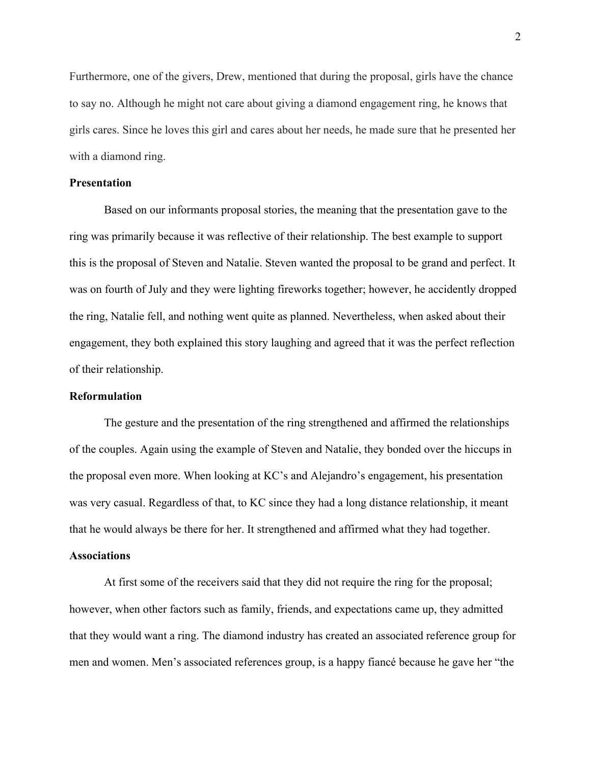Furthermore, one of the givers, Drew, mentioned that during the proposal, girls have the chance to say no. Although he might not care about giving a diamond engagement ring, he knows that girls cares. Since he loves this girl and cares about her needs, he made sure that he presented her with a diamond ring.

## **Presentation**

Based on our informants proposal stories, the meaning that the presentation gave to the ring was primarily because it was reflective of their relationship. The best example to support this is the proposal of Steven and Natalie. Steven wanted the proposal to be grand and perfect. It was on fourth of July and they were lighting fireworks together; however, he accidently dropped the ring, Natalie fell, and nothing went quite as planned. Nevertheless, when asked about their engagement, they both explained this story laughing and agreed that it was the perfect reflection of their relationship.

### **Reformulation**

The gesture and the presentation of the ring strengthened and affirmed the relationships of the couples. Again using the example of Steven and Natalie, they bonded over the hiccups in the proposal even more. When looking at KC's and Alejandro's engagement, his presentation was very casual. Regardless of that, to KC since they had a long distance relationship, it meant that he would always be there for her. It strengthened and affirmed what they had together.

### **Associations**

At first some of the receivers said that they did not require the ring for the proposal; however, when other factors such as family, friends, and expectations came up, they admitted that they would want a ring. The diamond industry has created an associated reference group for men and women. Men's associated references group, is a happy fiancé because he gave her "the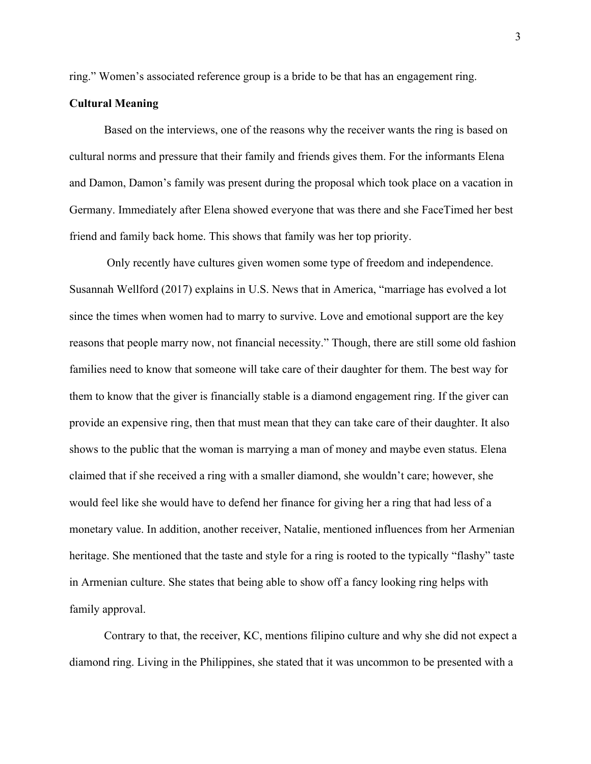ring." Women's associated reference group is a bride to be that has an engagement ring.

## **Cultural Meaning**

Based on the interviews, one of the reasons why the receiver wants the ring is based on cultural norms and pressure that their family and friends gives them. For the informants Elena and Damon, Damon's family was present during the proposal which took place on a vacation in Germany. Immediately after Elena showed everyone that was there and she FaceTimed her best friend and family back home. This shows that family was her top priority.

Only recently have cultures given women some type of freedom and independence. Susannah Wellford (2017) explains in U.S. News that in America, "marriage has evolved a lot since the times when women had to marry to survive. Love and emotional support are the key reasons that people marry now, not financial necessity." Though, there are still some old fashion families need to know that someone will take care of their daughter for them. The best way for them to know that the giver is financially stable is a diamond engagement ring. If the giver can provide an expensive ring, then that must mean that they can take care of their daughter. It also shows to the public that the woman is marrying a man of money and maybe even status. Elena claimed that if she received a ring with a smaller diamond, she wouldn't care; however, she would feel like she would have to defend her finance for giving her a ring that had less of a monetary value. In addition, another receiver, Natalie, mentioned influences from her Armenian heritage. She mentioned that the taste and style for a ring is rooted to the typically "flashy" taste in Armenian culture. She states that being able to show off a fancy looking ring helps with family approval.

Contrary to that, the receiver, KC, mentions filipino culture and why she did not expect a diamond ring. Living in the Philippines, she stated that it was uncommon to be presented with a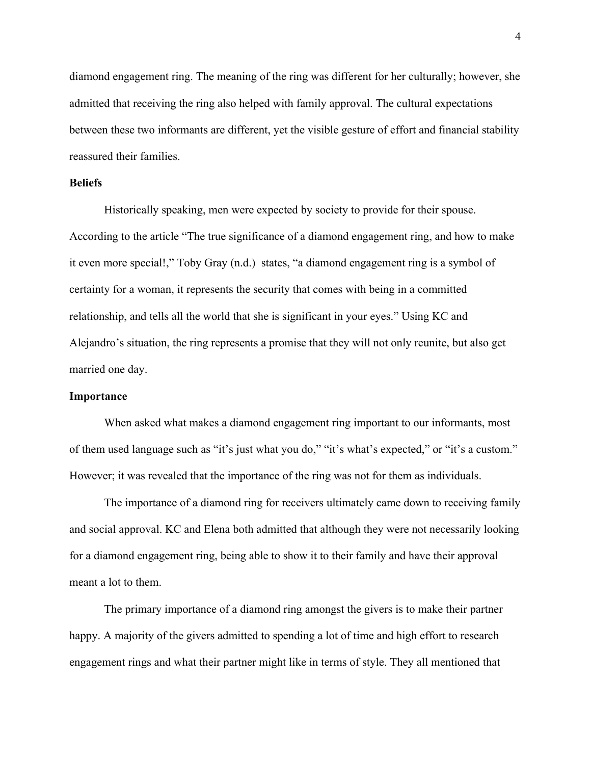diamond engagement ring. The meaning of the ring was different for her culturally; however, she admitted that receiving the ring also helped with family approval. The cultural expectations between these two informants are different, yet the visible gesture of effort and financial stability reassured their families.

# **Beliefs**

Historically speaking, men were expected by society to provide for their spouse. According to the article "The true significance of a diamond engagement ring, and how to make it even more special!," Toby Gray (n.d.) states, "a diamond engagement ring is a symbol of certainty for a woman, it represents the security that comes with being in a committed relationship, and tells all the world that she is significant in your eyes." Using KC and Alejandro's situation, the ring represents a promise that they will not only reunite, but also get married one day.

### **Importance**

When asked what makes a diamond engagement ring important to our informants, most of them used language such as "it's just what you do," "it's what's expected," or "it's a custom." However; it was revealed that the importance of the ring was not for them as individuals.

The importance of a diamond ring for receivers ultimately came down to receiving family and social approval. KC and Elena both admitted that although they were not necessarily looking for a diamond engagement ring, being able to show it to their family and have their approval meant a lot to them.

The primary importance of a diamond ring amongst the givers is to make their partner happy. A majority of the givers admitted to spending a lot of time and high effort to research engagement rings and what their partner might like in terms of style. They all mentioned that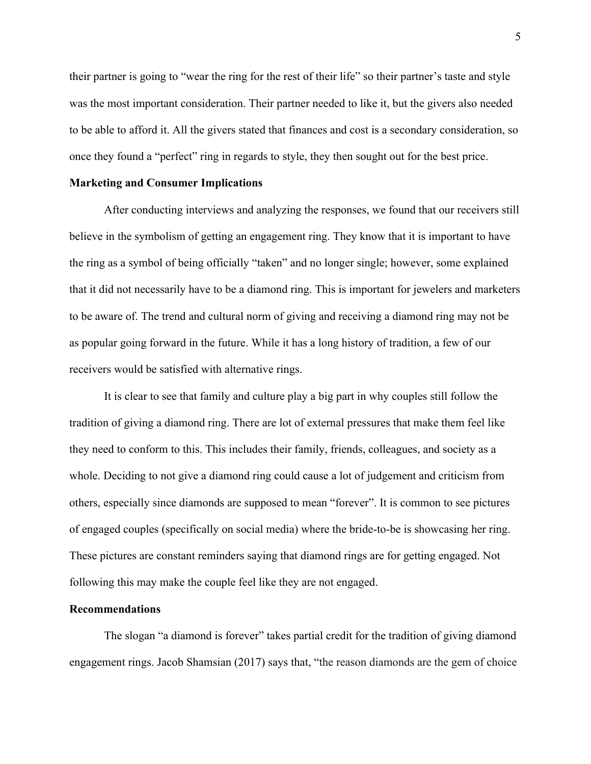their partner is going to "wear the ring for the rest of their life" so their partner's taste and style was the most important consideration. Their partner needed to like it, but the givers also needed to be able to afford it. All the givers stated that finances and cost is a secondary consideration, so once they found a "perfect" ring in regards to style, they then sought out for the best price.

#### **Marketing and Consumer Implications**

After conducting interviews and analyzing the responses, we found that our receivers still believe in the symbolism of getting an engagement ring. They know that it is important to have the ring as a symbol of being officially "taken" and no longer single; however, some explained that it did not necessarily have to be a diamond ring. This is important for jewelers and marketers to be aware of. The trend and cultural norm of giving and receiving a diamond ring may not be as popular going forward in the future. While it has a long history of tradition, a few of our receivers would be satisfied with alternative rings.

It is clear to see that family and culture play a big part in why couples still follow the tradition of giving a diamond ring. There are lot of external pressures that make them feel like they need to conform to this. This includes their family, friends, colleagues, and society as a whole. Deciding to not give a diamond ring could cause a lot of judgement and criticism from others, especially since diamonds are supposed to mean "forever". It is common to see pictures of engaged couples (specifically on social media) where the bride-to-be is showcasing her ring. These pictures are constant reminders saying that diamond rings are for getting engaged. Not following this may make the couple feel like they are not engaged.

### **Recommendations**

The slogan "a diamond is forever" takes partial credit for the tradition of giving diamond engagement rings. Jacob Shamsian (2017) says that, "the reason diamonds are the gem of choice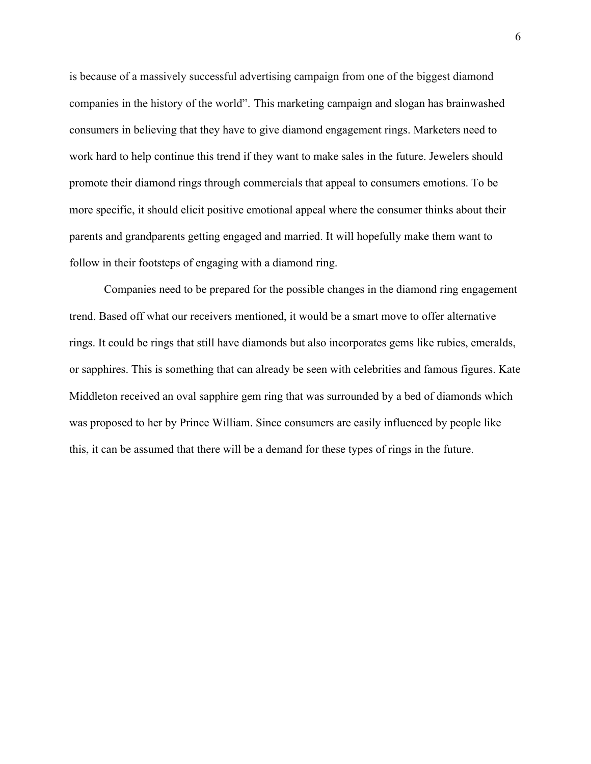is because of a massively successful advertising campaign from one of the biggest diamond companies in the history of the world". This marketing campaign and slogan has brainwashed consumers in believing that they have to give diamond engagement rings. Marketers need to work hard to help continue this trend if they want to make sales in the future. Jewelers should promote their diamond rings through commercials that appeal to consumers emotions. To be more specific, it should elicit positive emotional appeal where the consumer thinks about their parents and grandparents getting engaged and married. It will hopefully make them want to follow in their footsteps of engaging with a diamond ring.

Companies need to be prepared for the possible changes in the diamond ring engagement trend. Based off what our receivers mentioned, it would be a smart move to offer alternative rings. It could be rings that still have diamonds but also incorporates gems like rubies, emeralds, or sapphires. This is something that can already be seen with celebrities and famous figures. Kate Middleton received an oval sapphire gem ring that was surrounded by a bed of diamonds which was proposed to her by Prince William. Since consumers are easily influenced by people like this, it can be assumed that there will be a demand for these types of rings in the future.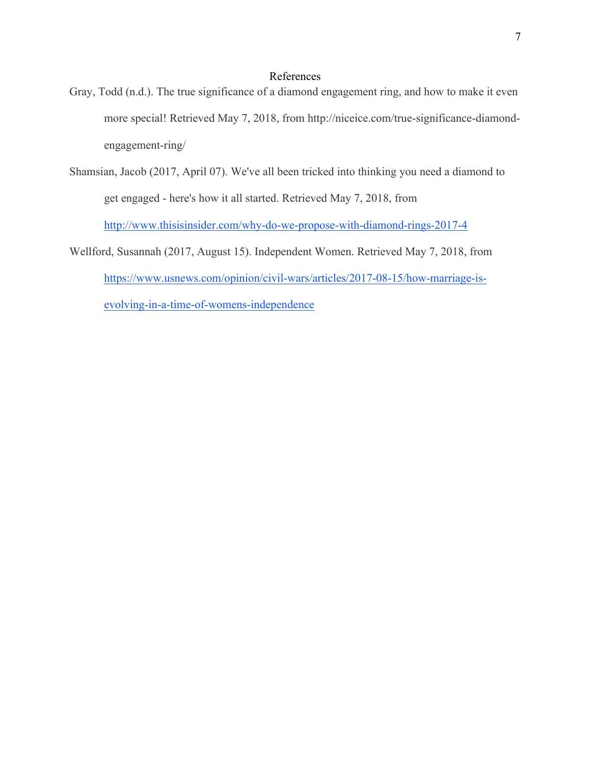# References

- Gray, Todd (n.d.). The true significance of a diamond engagement ring, and how to make it even more special! Retrieved May 7, 2018, from http://niceice.com/true-significance-diamondengagement-ring/
- Shamsian, Jacob (2017, April 07). We've all been tricked into thinking you need a diamond to get engaged - here's how it all started. Retrieved May 7, 2018, from http://www.thisisinsider.com/why-do-we-propose-with-diamond-rings-2017-4
- Wellford, Susannah (2017, August 15). Independent Women. Retrieved May 7, 2018, from https://www.usnews.com/opinion/civil-wars/articles/2017-08-15/how-marriage-isevolving-in-a-time-of-womens-independence